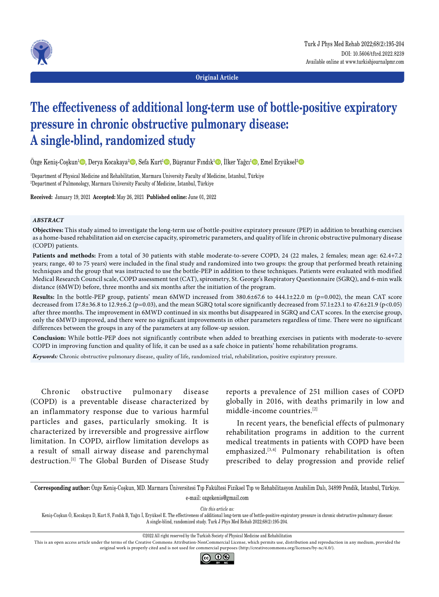

**Original Article**

# **The effectiveness of additional long-term use of bottle-positive expiratory pressure in chronic obstructive pulmonary disease: A single-blind, randomized study**

Özge Keniş-Coşkun<sup>ı</sup>©, Derya Kocakaya<sup>2</sup>©, Sefa Kurt<sup>ı</sup>©, Büşranur Fındık<sup>1</sup>©, İlker Yağcı<sup>ı</sup>©, Emel Eryüksel<del>'</del>©

1 Department of Physical Medicine and Rehabilitation, Marmara University Faculty of Medicine, Istanbul, Türkiye 2 Department of Pulmonology, Marmara University Faculty of Medicine, Istanbul, Türkiye

**Received:** January 19, 2021 **Accepted:** May 26, 2021 **Published online:** June 01, 2022

### *ABSTRACT*

**Objectives:** This study aimed to investigate the long-term use of bottle-positive expiratory pressure (PEP) in addition to breathing exercises as a home-based rehabilitation aid on exercise capacity, spirometric parameters, and quality of life in chronic obstructive pulmonary disease (COPD) patients.

**Patients and methods:** From a total of 30 patients with stable moderate-to-severe COPD, 24 (22 males, 2 females; mean age: 62.4+7.2 years; range, 40 to 75 years) were included in the final study and randomized into two groups: the group that performed breath retaining techniques and the group that was instructed to use the bottle-PEP in addition to these techniques. Patients were evaluated with modified Medical Research Council scale, COPD assessment test (CAT), spirometry, St. George's Respiratory Questionnaire (SGRQ), and 6-min walk distance (6MWD) before, three months and six months after the initiation of the program.

**Results:** In the bottle-PEP group, patients' mean 6MWD increased from 380.6±67.6 to 444.1±22.0 m (p=0.002), the mean CAT score decreased from  $17.8\pm36.8$  to  $12.9\pm6.2$  (p=0.03), and the mean SGRQ total score significantly decreased from 57.1 $\pm23.1$  to  $47.6\pm21.9$  (p<0.05) after three months. The improvement in 6MWD continued in six months but disappeared in SGRQ and CAT scores. In the exercise group, only the 6MWD improved, and there were no significant improvements in other parameters regardless of time. There were no significant differences between the groups in any of the parameters at any follow-up session.

**Conclusion:** While bottle-PEP does not significantly contribute when added to breathing exercises in patients with moderate-to-severe COPD in improving function and quality of life, it can be used as a safe choice in patients' home rehabilitation programs.

*Keywords:* Chronic obstructive pulmonary disease, quality of life, randomized trial, rehabilitation, positive expiratory pressure.

Chronic obstructive pulmonary disease (COPD) is a preventable disease characterized by an inflammatory response due to various harmful particles and gases, particularly smoking. It is characterized by irreversible and progressive airflow limitation. In COPD, airflow limitation develops as a result of small airway disease and parenchymal destruction.[1] The Global Burden of Disease Study reports a prevalence of 251 million cases of COPD globally in 2016, with deaths primarily in low and middle-income countries.[2]

In recent years, the beneficial effects of pulmonary rehabilitation programs in addition to the current medical treatments in patients with COPD have been emphasized.[3,4] Pulmonary rehabilitation is often prescribed to delay progression and provide relief

**Corresponding author:** Özge Keniş-Coşkun, MD. Marmara Üniversitesi Tıp Fakültesi Fiziksel Tıp ve Rehabilitasyon Anabilim Dalı, 34899 Pendik, İstanbul, Türkiye. e-mail: ozgekenis@gmail.com

*Cite this article as:*

Keniş-Coşkun Ö, Kocakaya D, Kurt S, Fındık B, Yağcı İ, Eryüksel E. The effectiveness of additional long-term use of bottle-positive expiratory pressure in chronic obstructive pulmonary disease: A single-blind, randomized study. Turk J Phys Med Rehab 2022;68(2):195-204.

This is an open access article under the terms of the Creative Commons Attribution-NonCommercial License, which permits use, distribution and reproduction in any medium, provided the original work is properly cited and is not used for commercial purposes (http://creativecommons.org/licenses/by-nc/4.0/).



<sup>©2022</sup> All right reserved by the Turkish Society of Physical Medicine and Rehabilitation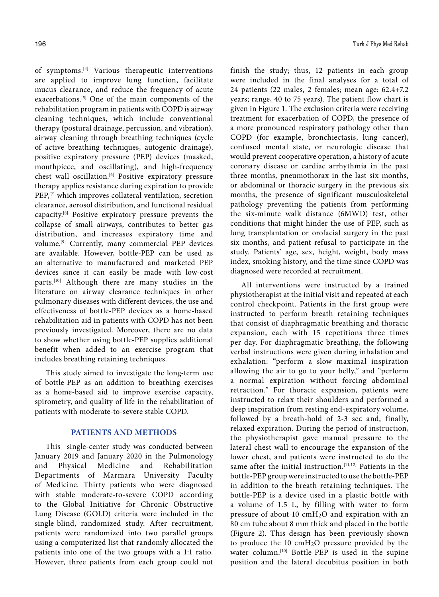of symptoms.[4] Various therapeutic interventions are applied to improve lung function, facilitate mucus clearance, and reduce the frequency of acute exacerbations.<sup>[5]</sup> One of the main components of the rehabilitation program in patients with COPD is airway cleaning techniques, which include conventional therapy (postural drainage, percussion, and vibration), airway cleaning through breathing techniques (cycle of active breathing techniques, autogenic drainage), positive expiratory pressure (PEP) devices (masked, mouthpiece, and oscillating), and high-frequency chest wall oscillation.[6] Positive expiratory pressure therapy applies resistance during expiration to provide PEP,<sup>[7]</sup> which improves collateral ventilation, secretion clearance, aerosol distribution, and functional residual capacity.[8] Positive expiratory pressure prevents the collapse of small airways, contributes to better gas distribution, and increases expiratory time and volume.[9] Currently, many commercial PEP devices are available. However, bottle-PEP can be used as an alternative to manufactured and marketed PEP devices since it can easily be made with low-cost parts.[10] Although there are many studies in the literature on airway clearance techniques in other pulmonary diseases with different devices, the use and effectiveness of bottle-PEP devices as a home-based rehabilitation aid in patients with COPD has not been previously investigated. Moreover, there are no data to show whether using bottle-PEP supplies additional benefit when added to an exercise program that includes breathing retaining techniques.

This study aimed to investigate the long-term use of bottle-PEP as an addition to breathing exercises as a home-based aid to improve exercise capacity, spirometry, and quality of life in the rehabilitation of patients with moderate-to-severe stable COPD.

## **PATIENTS AND METHODS**

This single-center study was conducted between January 2019 and January 2020 in the Pulmonology and Physical Medicine and Rehabilitation Departments of Marmara University Faculty of Medicine. Thirty patients who were diagnosed with stable moderate-to-severe COPD according to the Global Initiative for Chronic Obstructive Lung Disease (GOLD) criteria were included in the single-blind, randomized study. After recruitment, patients were randomized into two parallel groups using a computerized list that randomly allocated the patients into one of the two groups with a 1:1 ratio. However, three patients from each group could not finish the study; thus, 12 patients in each group were included in the final analyses for a total of 24 patients (22 males, 2 females; mean age: 62.4+7.2 years; range, 40 to 75 years). The patient flow chart is given in Figure 1. The exclusion criteria were receiving treatment for exacerbation of COPD, the presence of a more pronounced respiratory pathology other than COPD (for example, bronchiectasis, lung cancer), confused mental state, or neurologic disease that would prevent cooperative operation, a history of acute coronary disease or cardiac arrhythmia in the past three months, pneumothorax in the last six months, or abdominal or thoracic surgery in the previous six months, the presence of significant musculoskeletal pathology preventing the patients from performing the six-minute walk distance (6MWD) test, other conditions that might hinder the use of PEP, such as lung transplantation or orofacial surgery in the past six months, and patient refusal to participate in the study. Patients' age, sex, height, weight, body mass index, smoking history, and the time since COPD was diagnosed were recorded at recruitment.

All interventions were instructed by a trained physiotherapist at the initial visit and repeated at each control checkpoint. Patients in the first group were instructed to perform breath retaining techniques that consist of diaphragmatic breathing and thoracic expansion, each with 15 repetitions three times per day. For diaphragmatic breathing, the following verbal instructions were given during inhalation and exhalation: "perform a slow maximal inspiration allowing the air to go to your belly," and "perform a normal expiration without forcing abdominal retraction." For thoracic expansion, patients were instructed to relax their shoulders and performed a deep inspiration from resting end-expiratory volume, followed by a breath-hold of 2-3 sec and, finally, relaxed expiration. During the period of instruction, the physiotherapist gave manual pressure to the lateral chest wall to encourage the expansion of the lower chest, and patients were instructed to do the same after the initial instruction.<sup>[11,12]</sup> Patients in the bottle-PEP group were instructed to use the bottle-PEP in addition to the breath retaining techniques. The bottle-PEP is a device used in a plastic bottle with a volume of 1.5 L, by filling with water to form pressure of about 10  $\text{cm}H_2O$  and expiration with an 80 cm tube about 8 mm thick and placed in the bottle (Figure 2). This design has been previously shown to produce the 10 cmH2O pressure provided by the water column.<sup>[10]</sup> Bottle-PEP is used in the supine position and the lateral decubitus position in both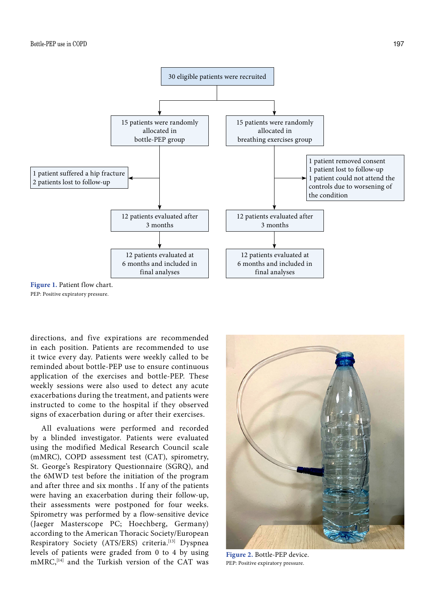

PEP: Positive expiratory pressure.

directions, and five expirations are recommended in each position. Patients are recommended to use it twice every day. Patients were weekly called to be reminded about bottle-PEP use to ensure continuous application of the exercises and bottle-PEP. These weekly sessions were also used to detect any acute exacerbations during the treatment, and patients were instructed to come to the hospital if they observed signs of exacerbation during or after their exercises.

All evaluations were performed and recorded by a blinded investigator. Patients were evaluated using the modified Medical Research Council scale (mMRC), COPD assessment test (CAT), spirometry, St. George's Respiratory Questionnaire (SGRQ), and the 6MWD test before the initiation of the program and after three and six months . If any of the patients were having an exacerbation during their follow-up, their assessments were postponed for four weeks. Spirometry was performed by a flow-sensitive device (Jaeger Masterscope PC; Hoechberg, Germany) according to the American Thoracic Society/European Respiratory Society (ATS/ERS) criteria.<sup>[13]</sup> Dyspnea levels of patients were graded from 0 to 4 by using levels of patients were graded from 0 to 4 by using Figure 2. Bottle-PEP device.<br>mMRC,<sup>[14]</sup> and the Turkish version of the CAT was PEP: Positive expiratory pressure.



PEP: Positive expiratory pressure.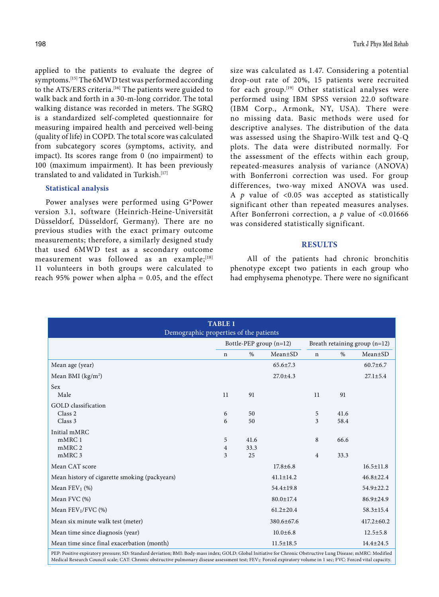applied to the patients to evaluate the degree of symptoms.[15] The 6MWD test was performed according to the ATS/ERS criteria.<sup>[16]</sup> The patients were guided to walk back and forth in a 30-m-long corridor. The total walking distance was recorded in meters. The SGRQ is a standardized self-completed questionnaire for measuring impaired health and perceived well-being (quality of life) in COPD. The total score was calculated from subcategory scores (symptoms, activity, and impact). Its scores range from 0 (no impairment) to 100 (maximum impairment). It has been previously translated to and validated in Turkish.[17]

#### **Statistical analysis**

Power analyses were performed using G\*Power version 3.1, software (Heinrich-Heine-Universität Düsseldorf, Düsseldorf, Germany). There are no previous studies with the exact primary outcome measurements; therefore, a similarly designed study that used 6MWD test as a secondary outcome measurement was followed as an example;[18] 11 volunteers in both groups were calculated to reach 95% power when alpha  $= 0.05$ , and the effect size was calculated as 1.47. Considering a potential drop-out rate of 20%, 15 patients were recruited for each group.[19] Other statistical analyses were performed using IBM SPSS version 22.0 software (IBM Corp., Armonk, NY, USA). There were no missing data. Basic methods were used for descriptive analyses. The distribution of the data was assessed using the Shapiro-Wilk test and Q-Q plots. The data were distributed normally. For the assessment of the effects within each group, repeated-measures analysis of variance (ANOVA) with Bonferroni correction was used. For group differences, two-way mixed ANOVA was used. A *p* value of <0.05 was accepted as statistically significant other than repeated measures analyses. After Bonferroni correction, a *p* value of <0.01666 was considered statistically significant.

#### **RESULTS**

 All of the patients had chronic bronchitis phenotype except two patients in each group who had emphysema phenotype. There were no significant

| Demographic properties of the patients        | <b>TABLE 1</b> |          |                         |             |              |                               |
|-----------------------------------------------|----------------|----------|-------------------------|-------------|--------------|-------------------------------|
|                                               |                |          | Bottle-PEP group (n=12) |             |              | Breath retaining group (n=12) |
|                                               | $\mathbf n$    | $\%$     | $Mean \pm SD$           | $\mathbf n$ | $\%$         | Mean±SD                       |
| Mean age (year)                               |                |          | $65.6 \pm 7.3$          |             |              | $60.7 \pm 6.7$                |
| Mean BMI (kg/m <sup>2</sup> )                 |                |          | $27.0 \pm 4.3$          |             |              | $27.1 \pm 5.4$                |
| <b>Sex</b><br>Male                            | 11             | 91       |                         | 11          | 91           |                               |
| GOLD classification                           |                |          |                         |             |              |                               |
| Class <sub>2</sub><br>Class 3                 | 6<br>6         | 50<br>50 |                         | 5<br>3      | 41.6<br>58.4 |                               |
| Initial mMRC                                  |                |          |                         |             |              |                               |
| mMRC 1                                        | 5              | 41.6     |                         | 8           | 66.6         |                               |
| mMRC 2                                        | 4              | 33.3     |                         |             |              |                               |
| mMRC 3                                        | 3              | 25       |                         | 4           | 33.3         |                               |
| Mean CAT score                                |                |          | $17.8 \pm 6.8$          |             |              | $16.5 \pm 11.8$               |
| Mean history of cigarette smoking (packyears) |                |          | $41.1 \pm 14.2$         |             |              | $46.8 \pm 22.4$               |
| Mean $FEV_1$ (%)                              |                |          | $54.4 \pm 19.8$         |             |              | $54.9 \pm 22.2$               |
| Mean FVC (%)                                  |                |          | $80.0 \pm 17.4$         |             |              | $86.9 \pm 24.9$               |
| Mean FEV1/FVC (%)                             |                |          | $61.2 \pm 20.4$         |             |              | 58.3±15.4                     |
| Mean six minute walk test (meter)             |                |          | 380.6±67.6              |             |              | $417.2 \pm 60.2$              |
| Mean time since diagnosis (year)              |                |          | $10.0 \pm 6.8$          |             |              | $12.5 \pm 5.8$                |
| Mean time since final exacerbation (month)    |                |          | $11.5 \pm 18.5$         |             |              | $14.4 \pm 24.5$               |

PEP: Positive expiratory pressure; SD: Standard deviation; BMI: Body-mass index; GOLD: Global Initiative for Chronic Obstructive Lung Disease; mMRC: Modified Medical Research Council scale; CAT: Chronic obstructive pulmonary disease assessment test; FEV1: Forced expiratory volume in 1 sec; FVC: Forced vital capacity.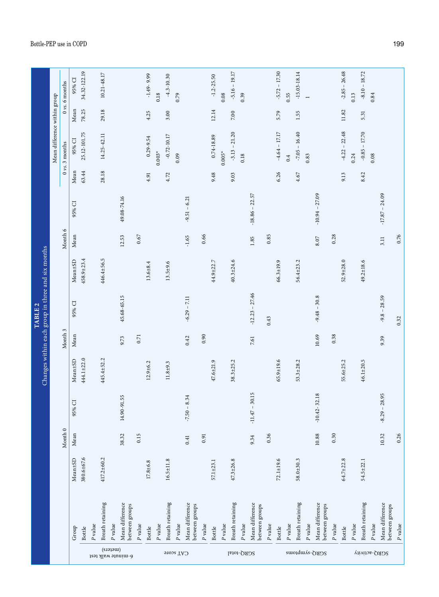|                    |                                   |                 |           |                       |                 |          | Changes within each group in three and six months<br>TABLE <sub>2</sub> |                 |         |                  |       |                              |           |                           |
|--------------------|-----------------------------------|-----------------|-----------|-----------------------|-----------------|----------|-------------------------------------------------------------------------|-----------------|---------|------------------|-------|------------------------------|-----------|---------------------------|
|                    |                                   |                 |           |                       |                 |          |                                                                         |                 |         |                  |       | Mean difference within group |           |                           |
|                    |                                   |                 | Month 0   |                       |                 | Month 3  |                                                                         |                 | Month 6 |                  |       | $0\,\nu s.$ 3 months         |           | 0 <sub>vs.</sub> 6 months |
|                    | Group                             | $Mean \pm SD$   | Mean      | $\overline{C}$<br>95% | Mean±SD         | Mean     | 95% CI                                                                  | Mean±SD         | Mean    | 95% CI           | Mean  | 95% CI                       | Mean      | 95% CI                    |
|                    | <b>Bottle</b>                     | 380.6±67.6      |           |                       | 444.1±22.0      |          |                                                                         | $458.9 + 23.4$  |         |                  | 63.44 | 25.12-101.75                 | 78.25     | 34.32-122.19              |
|                    | $\mathcal P$ value                |                 |           |                       |                 |          |                                                                         |                 |         |                  |       |                              |           |                           |
|                    | Breath retaining                  | 417.2±60.2      |           |                       | 445.4±52.2      |          |                                                                         | 446.4±56.5      |         |                  | 28.18 | 14.25-42.11                  | 29.18     | 10.21-48.17               |
| (meters)           | $\mathcal P$ value                |                 |           |                       |                 |          |                                                                         |                 |         |                  |       |                              |           |                           |
| 6-minute walk test | Mean difference<br>between groups |                 | 38.32     | 14.90-91.55           |                 | 9.73     | 45.68-65.15                                                             |                 | 12.53   | 49.08-74.16      |       |                              |           |                           |
|                    | $\mathcal P$ value                |                 | 0.15      |                       |                 | $0.71\,$ |                                                                         |                 | 0.67    |                  |       |                              |           |                           |
|                    | <b>Bottle</b>                     | $17.8 + 6.8$    |           |                       | $12.9 + 6.2$    |          |                                                                         | $13.6 + 8.4$    |         |                  | 4.91  | $0.29 - 9.54$                | 4.25      | $-1.49 - 9.99$            |
|                    | $\mathcal P$ value                |                 |           |                       |                 |          |                                                                         |                 |         |                  |       | $0.003*$                     |           | 0.18                      |
|                    | Breath retaining                  | $16.5 \pm 11.8$ |           |                       | $11.8 + 9.3$    |          |                                                                         | $13.5 + 9.6$    |         |                  | 4.72  | $-0.72 - 10.17$              | 3.00      | $-4.3 - 10.30$            |
| CAT score          | $\mathcal P$ value                |                 |           |                       |                 |          |                                                                         |                 |         |                  |       | 0.09                         |           | 0.79                      |
|                    | Mean difference<br>between groups |                 | 0.41      | $-7.50 - 8.34$        |                 | 0.42     | $-6.29 - 7.11$                                                          |                 | $-1.65$ | $-9.51 - 6.21$   |       |                              |           |                           |
|                    | $\mathcal P$ value                |                 | 0.91      |                       |                 | 0.90     |                                                                         |                 | 0.66    |                  |       |                              |           |                           |
|                    | <b>Bottle</b>                     | 57.1±23.1       |           |                       | $47.6 + 21.9$   |          |                                                                         | 44.9±22.7       |         |                  | 9.48  | $0.74 - 18.89$               | 12.14     | $-1.2 - 25.50$            |
|                    | P value                           |                 |           |                       |                 |          |                                                                         |                 |         |                  |       | $0.005*$                     |           | 0.08                      |
| SGRQ-total         | Breath retaining                  | $47.3 \pm 26.8$ |           |                       | $38.3 \pm 25.2$ |          |                                                                         | $40.3 \pm 24.6$ |         |                  | 9.03  | $-3.13 - 21.20$              | $7.00\,$  | $-5.16 - 19.17$           |
|                    | $\mathcal P$ value                |                 |           |                       |                 |          |                                                                         |                 |         |                  |       | 0.18                         |           | 0.39                      |
|                    | Mean difference<br>between groups |                 | 9.34      | $-11.47 - 30.15$      |                 | 7.61     | $-12.23 - 27.46$                                                        |                 | 1.85    | $-18.86 - 22.57$ |       |                              |           |                           |
|                    | $\it P$ value                     |                 | 0.36      |                       |                 |          | 0.43                                                                    |                 | 0.85    |                  |       |                              |           |                           |
|                    | <b>Bottle</b>                     | $72.1 \pm 19.6$ |           |                       | $65.9 \pm 19.6$ |          |                                                                         | $66.3 \pm 19.9$ |         |                  | 6.26  | $-4.64 - 17.17$              | 5.79      | $-5.72 - 17.30$           |
|                    | $\mathcal P$ value                |                 |           |                       |                 |          |                                                                         |                 |         |                  |       | 0.4                          |           | 0.55                      |
|                    | Breath retaining                  | $58.0 + 30.3$   |           |                       | $53.3 \pm 28.2$ |          |                                                                         | $56.4 + 23.2$   |         |                  | 4.67  | $-7.05 - 16.40$              | 1.55      | $-15.03 - 18.14$          |
|                    | P value                           |                 |           |                       |                 |          |                                                                         |                 |         |                  |       | 0.83                         |           |                           |
| SGRO-symptoms      | Mean difference<br>between groups |                 | $10.88\,$ | 32.18<br>$-10.42$     |                 | 10.69    | $-9.48 - 30.8$                                                          |                 | 8.07    | $-10.94 - 27.09$ |       |                              |           |                           |
|                    | $\mathcal P$ value                |                 | 0.30      |                       |                 | 0.38     |                                                                         |                 | 0.28    |                  |       |                              |           |                           |
|                    | <b>Bottle</b>                     | 64.7±22.8       |           |                       | 55.6±25.2       |          |                                                                         | $52.9 \pm 28.0$ |         |                  | 9.13  | $-4.22 - 22.48$              | $11.82\,$ | $-2.85 - 26.48$           |
|                    | $\mathcal P$ value                |                 |           |                       |                 |          |                                                                         |                 |         |                  |       | 0.24                         |           | 0.13                      |
|                    | Breath retaining                  | $54.5 \pm 22.1$ |           |                       | 46.1±20.5       |          |                                                                         | 49.2±18.6       |         |                  | 8.42  | $-0.85 - 17.70$              | 5.31      | $-8.10 - 18.72$           |
|                    | $\mathcal P$ value                |                 |           |                       |                 |          |                                                                         |                 |         |                  |       | 0.08                         |           | 0.84                      |
| Viivita-OAOS       | Mean difference<br>between groups |                 | 10.32     | 28.95<br>$-8.29 -$    |                 | 9.39     | $-9.8 - 28.59$                                                          |                 | 3.11    | $-17.87 - 24.09$ |       |                              |           |                           |
|                    | P value                           |                 | 0.26      |                       |                 |          | 0.32                                                                    |                 | 0.76    |                  |       |                              |           |                           |

Bottle-PEP use in COPD 199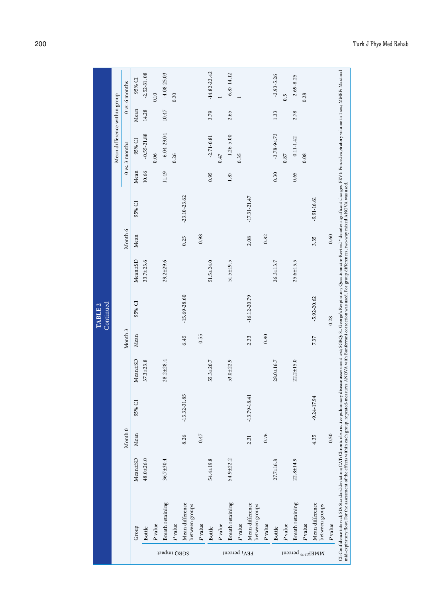|                                                        |                                   |                 |         |                  |                 |         |                  |                 |         |                  |       | Mean difference within group |       |                           |
|--------------------------------------------------------|-----------------------------------|-----------------|---------|------------------|-----------------|---------|------------------|-----------------|---------|------------------|-------|------------------------------|-------|---------------------------|
|                                                        |                                   |                 | Month 0 |                  |                 | Month 3 |                  |                 | Month 6 |                  |       | $0 \nu s$ . $3$ months       |       | 0 <sub>vs.</sub> 6 months |
|                                                        | Group                             | Mean±SD         | Mean    | 95% CI           | Mean±SD         | Mean    | 95% CI           | Mean±SD         | Mean    | 95% CI           | Mean  | 95% CI                       | Mean  | 95% CI                    |
|                                                        | <b>Bottle</b>                     | $48.0 + 26.0$   |         |                  | $37.3 \pm 23.8$ |         |                  | $33.7 \pm 23.6$ |         |                  | 10.66 | $-0.55 - 21.88$              | 14.28 | $-2.52 - 31.08$           |
|                                                        | P value                           |                 |         |                  |                 |         |                  |                 |         |                  |       | 0.06                         |       | 0.10                      |
|                                                        | Breath retaining                  | $36.7{\pm}30.4$ |         |                  | $28.2 \pm 28.4$ |         |                  | $29.2 + 29.6$   |         |                  | 11.49 | $-6.04 - 29.04$              | 10.47 | $-4.08 - 25.03$           |
|                                                        | P value                           |                 |         |                  |                 |         |                  |                 |         |                  |       | 0.26                         |       | 0.20                      |
| 5GRQ impact                                            | Mean difference<br>between groups |                 | 8.26    | $-15.32 - 31.85$ |                 | 6.45    | $-15.69 - 28.60$ |                 | 0.25    | $-23.10 - 23.62$ |       |                              |       |                           |
|                                                        | P value                           |                 | 0.47    |                  |                 | 0.55    |                  |                 | 0.98    |                  |       |                              |       |                           |
|                                                        | <b>Bottle</b>                     | 54.4±19.8       |         |                  | $55.3 \pm 20.7$ |         |                  | $51.5 \pm 24.0$ |         |                  | 0.95  | $-2.71 - 0.81$               | 3.79  | $-14.82 - 22.42$          |
|                                                        | $\mathcal P$ value                |                 |         |                  |                 |         |                  |                 |         |                  |       | 0.47                         |       |                           |
| $E\Lambda$ <sup>1</sup> betcent                        | Breath retaining                  | $54.9 \pm 22.2$ |         |                  | $53.0 + 22.9$   |         |                  | 51.5±19.5       |         |                  | 1.87  | $-1.26 - 5.00$               | 2.65  | $-6.87 - 14.12$           |
|                                                        | P value                           |                 |         |                  |                 |         |                  |                 |         |                  |       | 0.35                         |       |                           |
|                                                        | Mean difference<br>between groups |                 | 2.31    | $-13.79 - 18.41$ |                 | 2.33    | $-16.12 - 20.79$ |                 | 2.08    | $-17.31 - 21.47$ |       |                              |       |                           |
|                                                        | P value                           |                 | 0.76    |                  |                 | 0.80    |                  |                 | 0.82    |                  |       |                              |       |                           |
|                                                        | <b>Bottle</b>                     | 27.7±16.8       |         |                  | 28.0±16.7       |         |                  | $26.3 \pm 13.7$ |         |                  | 0.30  | $-3.78 - 94.73$              | 1.33  | $-2.93 - 5.26$            |
|                                                        | P value                           |                 |         |                  |                 |         |                  |                 |         |                  |       | 0.87                         |       | 0.5                       |
|                                                        | Breath retaining                  | $22.8 \pm 14.9$ |         |                  | $22.2 \pm 15.0$ |         |                  | $25.6 \pm 15.5$ |         |                  | 0.65  | $0.11 - 1.42$                | 2.78  | 2.69-8.25                 |
|                                                        | P value                           |                 |         |                  |                 |         |                  |                 |         |                  |       | 0.08                         |       | 0.28                      |
| $\mathop{\hbox{\rm WMEEx}}\nolimits_{\rm 2.2}$ betcent | Mean difference<br>between groups |                 | 4.35    | $-9.24 - 17.94$  |                 | 7.37    | $-5.92 - 20.62$  |                 | 3.35    | $-9.91 - 16.61$  |       |                              |       |                           |
|                                                        | P value                           |                 | 0.50    |                  |                 |         | 0.28             |                 | 0.60    |                  |       |                              |       |                           |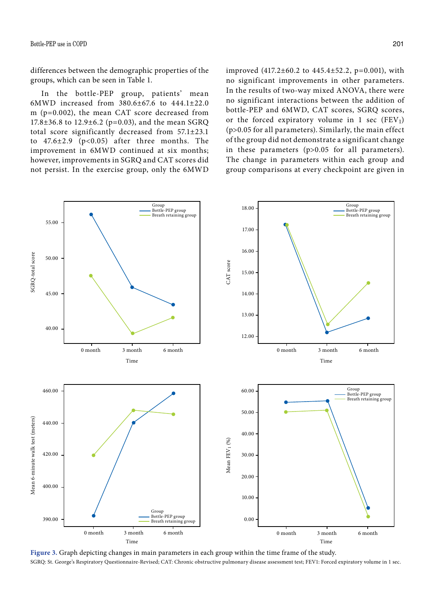differences between the demographic properties of the groups, which can be seen in Table 1.

In the bottle-PEP group, patients' mean 6MWD increased from 380.6±67.6 to 444.1±22.0 m (p=0.002), the mean CAT score decreased from 17.8±36.8 to 12.9±6.2 (p=0.03), and the mean SGRQ total score significantly decreased from 57.1±23.1 to  $47.6 \pm 2.9$  (p<0.05) after three months. The improvement in 6MWD continued at six months; however, improvements in SGRQ and CAT scores did not persist. In the exercise group, only the 6MWD improved (417.2±60.2 to 445.4±52.2, p=0.001), with no significant improvements in other parameters. In the results of two-way mixed ANOVA, there were no significant interactions between the addition of bottle-PEP and 6MWD, CAT scores, SGRQ scores, or the forced expiratory volume in 1 sec  $(FEV_1)$ (p>0.05 for all parameters). Similarly, the main effect of the group did not demonstrate a significant change in these parameters (p>0.05 for all parameters). The change in parameters within each group and group comparisons at every checkpoint are given in



**Figure 3.** Graph depicting changes in main parameters in each group within the time frame of the study.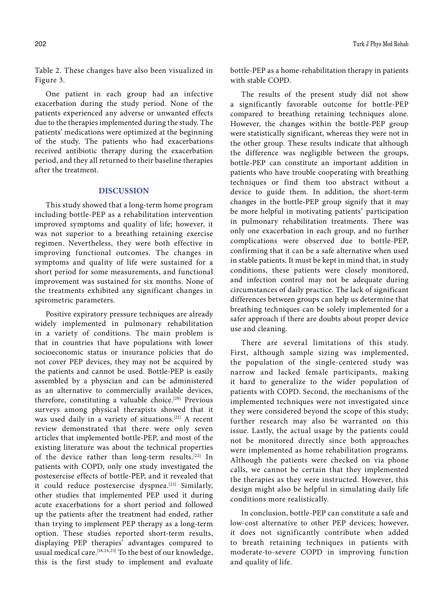Table 2. These changes have also been visualized in Figure 3.

One patient in each group had an infective exacerbation during the study period. None of the patients experienced any adverse or unwanted effects due to the therapies implemented during the study. The patients' medications were optimized at the beginning of the study. The patients who had exacerbations received antibiotic therapy during the exacerbation period, and they all returned to their baseline therapies after the treatment.

# **DISCUSSION**

This study showed that a long-term home program including bottle-PEP as a rehabilitation intervention improved symptoms and quality of life; however, it was not superior to a breathing retaining exercise regimen. Nevertheless, they were both effective in improving functional outcomes. The changes in symptoms and quality of life were sustained for a short period for some measurements, and functional improvement was sustained for six months. None of the treatments exhibited any significant changes in spirometric parameters.

Positive expiratory pressure techniques are already widely implemented in pulmonary rehabilitation in a variety of conditions. The main problem is that in countries that have populations with lower socioeconomic status or insurance policies that do not cover PEP devices, they may not be acquired by the patients and cannot be used. Bottle-PEP is easily assembled by a physician and can be administered as an alternative to commercially available devices, therefore, constituting a valuable choice.<sup>[20]</sup> Previous surveys among physical therapists showed that it was used daily in a variety of situations.[21] A recent review demonstrated that there were only seven articles that implemented bottle-PEP, and most of the existing literature was about the technical properties of the device rather than long-term results.<sup>[22]</sup> In patients with COPD, only one study investigated the postexercise effects of bottle-PEP, and it revealed that it could reduce postexercise dyspnea.<sup>[23]</sup> Similarly, other studies that implemented PEP used it during acute exacerbations for a short period and followed up the patients after the treatment had ended, rather than trying to implement PEP therapy as a long-term option. These studies reported short-term results, displaying PEP therapies' advantages compared to usual medical care.<sup>[18,24,25]</sup> To the best of our knowledge, this is the first study to implement and evaluate

bottle-PEP as a home-rehabilitation therapy in patients with stable COPD.

The results of the present study did not show a significantly favorable outcome for bottle-PEP compared to breathing retaining techniques alone. However, the changes within the bottle-PEP group were statistically significant, whereas they were not in the other group. These results indicate that although the difference was negligible between the groups, bottle-PEP can constitute an important addition in patients who have trouble cooperating with breathing techniques or find them too abstract without a device to guide them. In addition, the short-term changes in the bottle-PEP group signify that it may be more helpful in motivating patients̓ participation in pulmonary rehabilitation treatments. There was only one exacerbation in each group, and no further complications were observed due to bottle-PEP, confirming that it can be a safe alternative when used in stable patients. It must be kept in mind that, in study conditions, these patients were closely monitored, and infection control may not be adequate during circumstances of daily practice. The lack of significant differences between groups can help us determine that breathing techniques can be solely implemented for a safer approach if there are doubts about proper device use and cleaning.

There are several limitations of this study. First, although sample sizing was implemented, the population of the single-centered study was narrow and lacked female participants, making it hard to generalize to the wider population of patients with COPD. Second, the mechanisms of the implemented techniques were not investigated since they were considered beyond the scope of this study; further research may also be warranted on this issue. Lastly, the actual usage by the patients could not be monitored directly since both approaches were implemented as home rehabilitation programs. Although the patients were checked on via phone calls, we cannot be certain that they implemented the therapies as they were instructed. However, this design might also be helpful in simulating daily life conditions more realistically.

In conclusion, bottle-PEP can constitute a safe and low-cost alternative to other PEP devices; however, it does not significantly contribute when added to breath retaining techniques in patients with moderate-to-severe COPD in improving function and quality of life.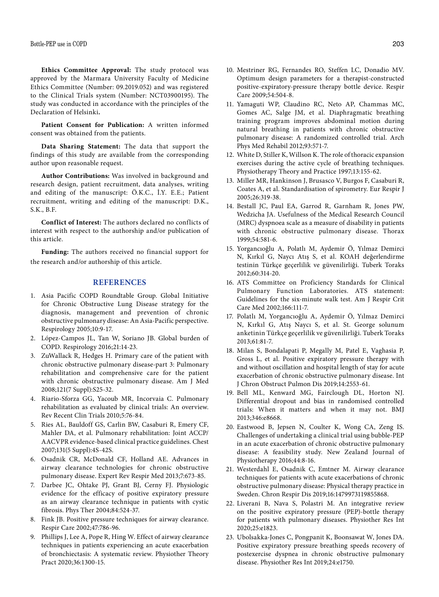**Ethics Committee Approval:** The study protocol was approved by the Marmara University Faculty of Medicine Ethics Committee (Number: 09.2019.052) and was registered to the Clinical Trials system (Number: NCT03900195). The study was conducted in accordance with the principles of the Declaration of Helsinki**.**

**Patient Consent for Publication:** A written informed consent was obtained from the patients.

**Data Sharing Statement:** The data that support the findings of this study are available from the corresponding author upon reasonable request.

**Author Contributions:** Was involved in background and research design, patient recruitment, data analyses, writing and editing of the manuscript: Ö.K.C., İ.Y. E.E.; Patient recruitment, writing and editing of the manuscript: D.K., S.K., B.F.

**Conflict of Interest:** The authors declared no conflicts of interest with respect to the authorship and/or publication of this article.

**Funding:** The authors received no financial support for the research and/or authorship of this article.

#### **REFERENCES**

- 1. Asia Pacific COPD Roundtable Group. Global Initiative for Chronic Obstructive Lung Disease strategy for the diagnosis, management and prevention of chronic obstructive pulmonary disease: An Asia-Pacific perspective. Respirology 2005;10:9-17.
- 2. López-Campos JL, Tan W, Soriano JB. Global burden of COPD. Respirology 2016;21:14-23.
- 3. ZuWallack R, Hedges H. Primary care of the patient with chronic obstructive pulmonary disease-part 3: Pulmonary rehabilitation and comprehensive care for the patient with chronic obstructive pulmonary disease. Am J Med 2008;121(7 Suppl):S25-32.
- 4. Riario-Sforza GG, Yacoub MR, Incorvaia C. Pulmonary rehabilitation as evaluated by clinical trials: An overview. Rev Recent Clin Trials 2010;5:76-84.
- 5. Ries AL, Bauldoff GS, Carlin BW, Casaburi R, Emery CF, Mahler DA, et al. Pulmonary rehabilitation: Joint ACCP/ AACVPR evidence-based clinical practice guidelines. Chest 2007;131(5 Suppl):4S-42S.
- 6. Osadnik CR, McDonald CF, Holland AE. Advances in airway clearance technologies for chronic obstructive pulmonary disease. Expert Rev Respir Med 2013;7:673-85.
- 7. Darbee JC, Ohtake PJ, Grant BJ, Cerny FJ. Physiologic evidence for the efficacy of positive expiratory pressure as an airway clearance technique in patients with cystic fibrosis. Phys Ther 2004;84:524-37.
- 8. Fink JB. Positive pressure techniques for airway clearance. Respir Care 2002;47:786-96.
- 9. Phillips J, Lee A, Pope R, Hing W. Effect of airway clearance techniques in patients experiencing an acute exacerbation of bronchiectasis: A systematic review. Physiother Theory Pract 2020;36:1300-15.
- 10. Mestriner RG, Fernandes RO, Steffen LC, Donadio MV. Optimum design parameters for a therapist-constructed positive-expiratory-pressure therapy bottle device. Respir Care 2009;54:504-8.
- 11. Yamaguti WP, Claudino RC, Neto AP, Chammas MC, Gomes AC, Salge JM, et al. Diaphragmatic breathing training program improves abdominal motion during natural breathing in patients with chronic obstructive pulmonary disease: A randomized controlled trial. Arch Phys Med Rehabil 2012;93:571-7.
- 12. White D, Stiller K, Willson K. The role of thoracic expansion exercises during the active cycle of breathing techniques. Physiotherapy Theory and Practice 1997;13:155-62.
- 13. Miller MR, Hankinson J, Brusasco V, Burgos F, Casaburi R, Coates A, et al. Standardisation of spirometry. Eur Respir J 2005;26:319-38.
- 14. Bestall JC, Paul EA, Garrod R, Garnham R, Jones PW, Wedzicha JA. Usefulness of the Medical Research Council (MRC) dyspnoea scale as a measure of disability in patients with chronic obstructive pulmonary disease. Thorax 1999;54:581-6.
- 15. Yorgancıoğlu A, Polatlı M, Aydemir Ö, Yılmaz Demirci N, Kırkıl G, Naycı Atış S, et al. KOAH değerlendirme testinin Türkçe geçerlilik ve güvenilirliği. Tuberk Toraks 2012;60:314-20.
- 16. ATS Committee on Proficiency Standards for Clinical Pulmonary Function Laboratories. ATS statement: Guidelines for the six-minute walk test. Am J Respir Crit Care Med 2002;166:111-7.
- 17. Polatlı M, Yorgancıoğlu A, Aydemir Ö, Yılmaz Demirci N, Kırkıl G, Atış Naycı S, et al. St. George solunum anketinin Türkçe geçerlilik ve güvenilirliği. Tuberk Toraks 2013;61:81-7.
- 18. Milan S, Bondalapati P, Megally M, Patel E, Vaghasia P, Gross L, et al. Positive expiratory pressure therapy with and without oscillation and hospital length of stay for acute exacerbation of chronic obstructive pulmonary disease. Int J Chron Obstruct Pulmon Dis 2019;14:2553-61.
- 19. Bell ML, Kenward MG, Fairclough DL, Horton NJ. Differential dropout and bias in randomised controlled trials: When it matters and when it may not. BMJ 2013;346:e8668.
- 20. Eastwood B, Jepsen N, Coulter K, Wong CA, Zeng IS. Challenges of undertaking a clinical trial using bubble-PEP in an acute exacerbation of chronic obstructive pulmonary disease: A feasibility study. New Zealand Journal of Physiotherapy 2016;44:8-16.
- 21. Westerdahl E, Osadnik C, Emtner M. Airway clearance techniques for patients with acute exacerbations of chronic obstructive pulmonary disease: Physical therapy practice in Sweden. Chron Respir Dis 2019;16:1479973119855868.
- 22. Liverani B, Nava S, Polastri M. An integrative review on the positive expiratory pressure (PEP)-bottle therapy for patients with pulmonary diseases. Physiother Res Int 2020;25:e1823.
- 23. Ubolsakka-Jones C, Pongpanit K, Boonsawat W, Jones DA. Positive expiratory pressure breathing speeds recovery of postexercise dyspnea in chronic obstructive pulmonary disease. Physiother Res Int 2019;24:e1750.